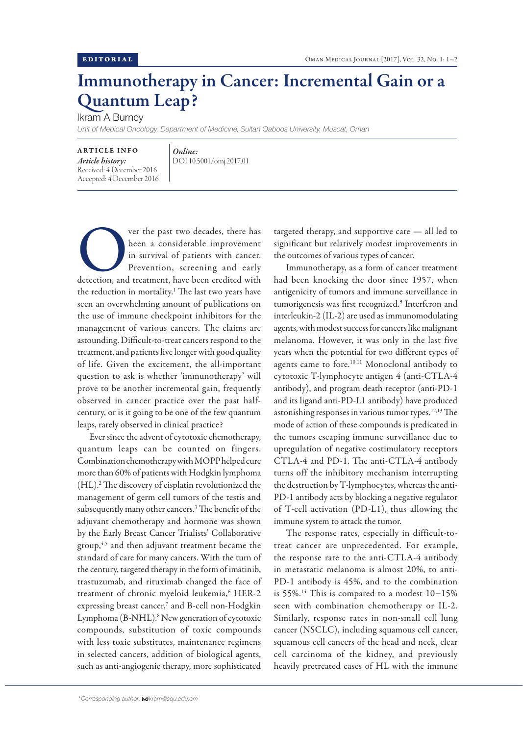## Immunotherapy in Cancer: Incremental Gain or a Quantum Leap?

Ikram A Burney

*Unit of Medical Oncology, Department of Medicine, Sultan Qaboos University, Muscat, Oman*

ARTICLE INFO *Article history:* Received: 4 December 2016 Accepted: 4 December 2016

*Online:* DOI 10.5001/omj.2017.01

ver the past two decades, there has<br>
been a considerable improvement<br>
in survival of patients with cancer.<br>
Prevention, screening and early<br>
detection, and treatment, have been credited with been a considerable improvement in survival of patients with cancer. Prevention, screening and early the reduction in mortality.1 The last two years have seen an overwhelming amount of publications on the use of immune checkpoint inhibitors for the management of various cancers. The claims are astounding. Difficult-to-treat cancers respond to the treatment, and patients live longer with good quality of life. Given the excitement, the all-important question to ask is whether 'immunotherapy' will prove to be another incremental gain, frequently observed in cancer practice over the past halfcentury, or is it going to be one of the few quantum leaps, rarely observed in clinical practice?

Ever since the advent of cytotoxic chemotherapy, quantum leaps can be counted on fingers. Combination chemotherapy with MOPP helped cure more than 60% of patients with Hodgkin lymphoma (HL).2 The discovery of cisplatin revolutionized the management of germ cell tumors of the testis and subsequently many other cancers.3 The benefit of the adjuvant chemotherapy and hormone was shown by the Early Breast Cancer Trialists' Collaborative group,4,5 and then adjuvant treatment became the standard of care for many cancers. With the turn of the century, targeted therapy in the form of imatinib, trastuzumab, and rituximab changed the face of treatment of chronic myeloid leukemia,<sup>6</sup> HER-2 expressing breast cancer,7 and B-cell non-Hodgkin Lymphoma (B-NHL).<sup>8</sup> New generation of cytotoxic compounds, substitution of toxic compounds with less toxic substitutes, maintenance regimens in selected cancers, addition of biological agents, such as anti-angiogenic therapy, more sophisticated

targeted therapy, and supportive care — all led to significant but relatively modest improvements in the outcomes of various types of cancer.

Immunotherapy, as a form of cancer treatment had been knocking the door since 1957, when antigenicity of tumors and immune surveillance in tumorigenesis was first recognized.<sup>9</sup> Interferon and interleukin-2 (IL-2) are used as immunomodulating agents, with modest success for cancers like malignant melanoma. However, it was only in the last five years when the potential for two different types of agents came to fore.10,11 Monoclonal antibody to cytotoxic T-lymphocyte antigen 4 (anti-CTLA-4 antibody), and program death receptor (anti-PD-1 and its ligand anti-PD-L1 antibody) have produced astonishing responses in various tumor types.12,13 The mode of action of these compounds is predicated in the tumors escaping immune surveillance due to upregulation of negative costimulatory receptors CTLA-4 and PD-1. The anti-CTLA-4 antibody turns off the inhibitory mechanism interrupting the destruction by T-lymphocytes, whereas the anti-PD-1 antibody acts by blocking a negative regulator of T-cell activation (PD-L1), thus allowing the immune system to attack the tumor.

The response rates, especially in difficult-totreat cancer are unprecedented. For example, the response rate to the anti-CTLA-4 antibody in metastatic melanoma is almost 20%, to anti-PD-1 antibody is 45%, and to the combination is 55%.14 This is compared to a modest 10−15% seen with combination chemotherapy or IL-2. Similarly, response rates in non-small cell lung cancer (NSCLC), including squamous cell cancer, squamous cell cancers of the head and neck, clear cell carcinoma of the kidney, and previously heavily pretreated cases of HL with the immune